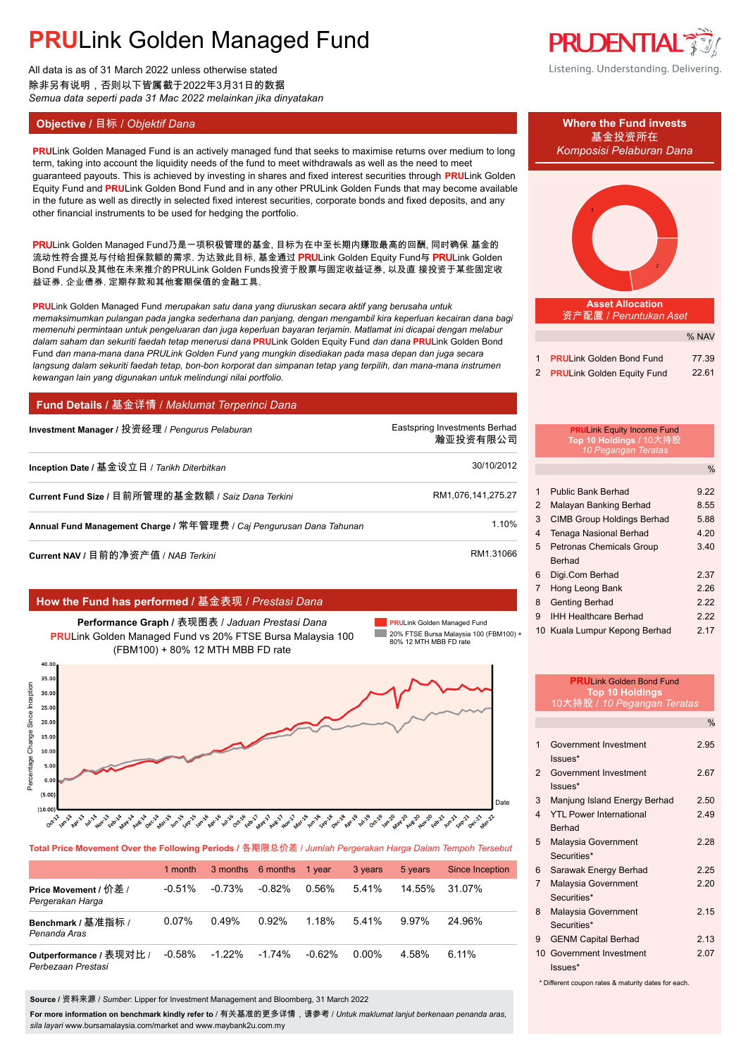All data is as of 31 March 2022 unless otherwise stated 除非另有说明,否则以下皆属截于2022年3月31日的数据 *Semua data seperti pada 31 Mac 2022 melainkan jika dinyatakan*

## **Objective /** 目标 / *Objektif Dana* **Where the Fund invests**

**PRULink Golden Managed Fund is an actively managed fund that seeks to maximise returns over medium to long** *Komposisi Pelaburan Dana* term, taking into account the liquidity needs of the fund to meet withdrawals as well as the need to meet guaranteed payouts. This is achieved by investing in shares and fixed interest securities through **PRU**Link Golden Equity Fund and **PRU**Link Golden Bond Fund and in any other PRULink Golden Funds that may become available in the future as well as directly in selected fixed interest securities, corporate bonds and fixed deposits, and any other financial instruments to be used for hedging the portfolio.

PRULink Golden Managed Fund乃是一项积极管理的基金, 目标为在中至长期内赚取最高的回酬, 同时确保 基金的 流动性符合提兑与付给担保款额的需求. 为达致此目标, 基金通过 PRULink Golden Equity Fund与 PRULink Golden Bond Fund以及其他在未来推介的PRULink Golden Funds投资于股票与固定收益证券, 以及直 接投资于某些固定收 益证券, 企业债券, 定期存款和其他套期保值的金融工具.

**PRU**Link Golden Managed Fund *merupakan satu dana yang diuruskan secara aktif yang berusaha untuk memaksimumkan pulangan pada jangka sederhana dan panjang, dengan mengambil kira keperluan kecairan dana bagi memenuhi permintaan untuk pengeluaran dan juga keperluan bayaran terjamin. Matlamat ini dicapai dengan melabur dalam saham dan sekuriti faedah tetap menerusi dana* **PRU**Link Golden Equity Fund *dan dana* **PRU**Link Golden Bond Fund *dan mana-mana dana PRULink Golden Fund yang mungkin disediakan pada masa depan dan juga secara langsung dalam sekuriti faedah tetap, bon-bon korporat dan simpanan tetap yang terpilih, dan mana-mana instrumen kewangan lain yang digunakan untuk melindungi nilai portfolio.*

## **Fund Details /** 基金详情 / *Maklumat Terperinci Dana*

| Investment Manager / 投资经理 / Pengurus Pelaburan                      | Eastspring Investments Berhad<br>瀚亚投资有限公司 |
|---------------------------------------------------------------------|-------------------------------------------|
| Inception Date / 基金设立日 / Tarikh Diterbitkan                         | 30/10/2012                                |
| Current Fund Size / 目前所管理的基金数额 / Saiz Dana Terkini                  | RM1,076,141,275.27                        |
| Annual Fund Management Charge / 常年管理费 / Caj Pengurusan Dana Tahunan | 1.10%                                     |
|                                                                     |                                           |

**Current NAV /** 目前的净资产值 / *NAB Terkini* RM1.31066

## **How the Fund has performed /** 基金表现 / *Prestasi Dana*

**Performance Graph /** 表现图表 / *Jaduan Prestasi Dana* **PRU**Link Golden Managed Fund vs 20% FTSE Bursa Malaysia 100 (FBM100) + 80% 12 MTH MBB FD rate

**PRU**Link Golden Managed Fund **College** 20% FTSE Bursa Malaysia 100 (FBM100) + 80% 12 MTH MBB FD rate



**Total Price Movement Over the Following Periods /** 各期限总价差 / *Jumlah Pergerakan Harga Dalam Tempoh Tersebut*

|                                               | 1 month   |           | 3 months 6 months 1 year |           | 3 years  | 5 years | Since Inception |
|-----------------------------------------------|-----------|-----------|--------------------------|-----------|----------|---------|-----------------|
| Price Movement / 价差 /<br>Pergerakan Harga     | $-0.51%$  | $-0.73\%$ | $-0.82%$                 | 0.56%     | 541%     | 14.55%  | 31.07%          |
| Benchmark / 基准指标 /<br>Penanda Aras            | 0.07%     | 0.49%     | 0.92%                    | 1.18%     | 5.41%    | 9.97%   | 24.96%          |
| Outperformance / 表现对比 /<br>Perbezaan Prestasi | $-0.58\%$ | $-1.22\%$ | $-1.74%$                 | $-0.62\%$ | $0.00\%$ | 4.58%   | 6.11%           |

**Source /** 资料来源 / *Sumber*: Lipper for Investment Management and Bloomberg, 31 March 2022

**For more information on benchmark kindly refer to** / 有关基准的更多详情,请参考 / *Untuk maklumat lanjut berkenaan penanda aras, sila layari* www.bursamalaysia.com/market and www.maybank2u.com.my



# 基金投资所在



|                              | % NAV |
|------------------------------|-------|
| 1 PRULink Golden Bond Fund   | 77.39 |
| 2 PRULink Golden Equity Fund | 22.61 |

|                | <b>PRULink Equity Income Fund</b><br>Top 10 Holdings / 10大持股<br>10 Pegangan Teratas |               |
|----------------|-------------------------------------------------------------------------------------|---------------|
|                |                                                                                     | $\frac{0}{0}$ |
| $\mathbf{1}$   | <b>Public Bank Berhad</b>                                                           | 9.22          |
| $\overline{2}$ | Malayan Banking Berhad                                                              | 8.55          |
| 3              | <b>CIMB Group Holdings Berhad</b>                                                   | 5.88          |
| 4              | Tenaga Nasional Berhad                                                              | 4.20          |
| 5              | Petronas Chemicals Group                                                            | 3.40          |
|                | Berhad                                                                              |               |
| 6              | Digi.Com Berhad                                                                     | 2.37          |
| $\overline{7}$ | Hong Leong Bank                                                                     | 2.26          |
| 8              | <b>Genting Berhad</b>                                                               | 2.22          |
| 9              | <b>IHH Healthcare Berhad</b>                                                        | 2.22          |

10 Kuala Lumpur Kepong Berhad 2.17

|                         | <b>PRULink Golden Bond Fund</b><br><b>Top 10 Holdings</b> |               |
|-------------------------|-----------------------------------------------------------|---------------|
|                         | 10大持股 / 10 Pegangan Teratas                               |               |
|                         |                                                           | $\frac{0}{0}$ |
| 1                       | Government Investment<br>Issues*                          | 2.95          |
| $\mathcal{P}$           | Government Investment<br>Issues*                          | 2.67          |
| 3                       | Manjung Island Energy Berhad                              | 2.50          |
| $\overline{\mathbf{4}}$ | <b>YTL Power International</b><br><b>Berhad</b>           | 2.49          |
| 5                       | Malaysia Government<br>Securities*                        | 2.28          |
| 6                       | Sarawak Energy Berhad                                     | 2.25          |
| $\overline{7}$          | Malaysia Government<br>Securities*                        | 2.20          |
| 8                       | Malaysia Government<br>Securities*                        | 2.15          |
| 9                       | <b>GENM Capital Berhad</b>                                | 2.13          |
| $10-10$                 | Government Investment<br>Issues*                          | 2.07          |

Different coupon rates & maturity dates for each.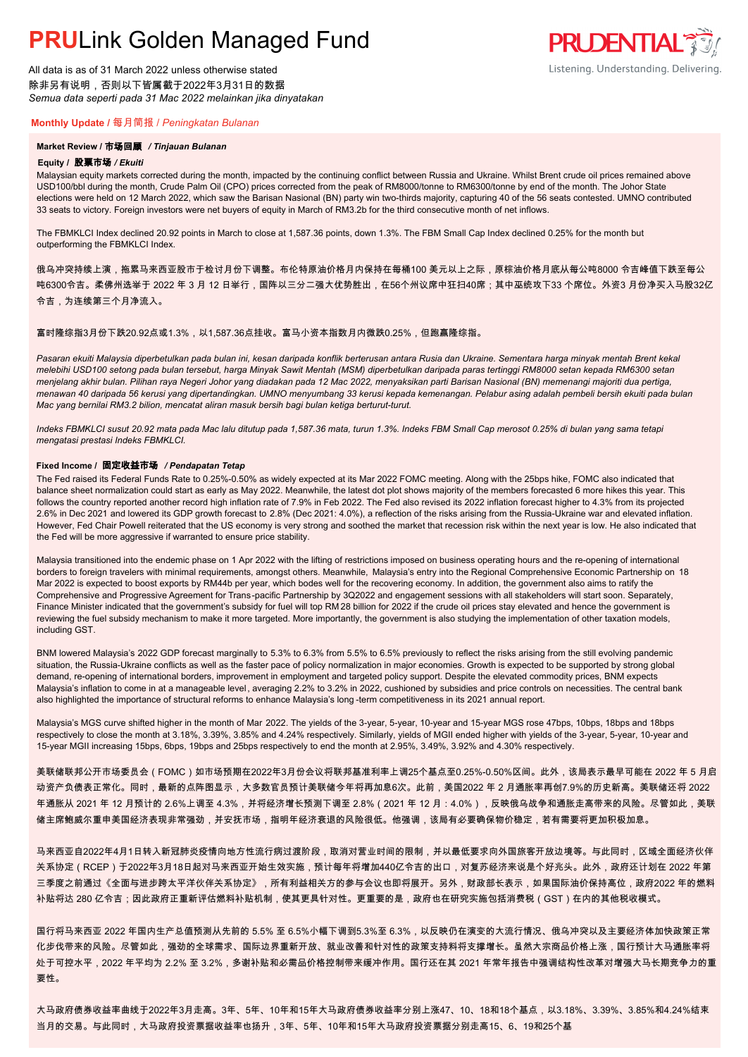All data is as of 31 March 2022 unless otherwise stated 除非另有说明,否则以下皆属截于2022年3月31日的数据 *Semua data seperti pada 31 Mac 2022 melainkan jika dinyatakan*

### **Monthly Update /** 每月简报 / *Peningkatan Bulanan*

#### **Market Review /** 市场回顾 */ Tinjauan Bulanan*

#### **Equity /** 股票市场 */ Ekuiti.*

Malaysian equity markets corrected during the month, impacted by the continuing conflict between Russia and Ukraine. Whilst Brent crude oil prices remained above USD100/bbl during the month, Crude Palm Oil (CPO) prices corrected from the peak of RM8000/tonne to RM6300/tonne by end of the month. The Johor State elections were held on 12 March 2022, which saw the Barisan Nasional (BN) party win two-thirds majority, capturing 40 of the 56 seats contested. UMNO contributed 33 seats to victory. Foreign investors were net buyers of equity in March of RM3.2b for the third consecutive month of net inflows.

**PRUDENTIAL 33/** 

Listening. Understanding. Delivering.

The FBMKLCI Index declined 20.92 points in March to close at 1,587.36 points, down 1.3%. The FBM Small Cap Index declined 0.25% for the month but outperforming the FBMKLCI Index.

俄乌冲突持续上演,拖累马来西亚股市于检讨月份下调整。布伦特原油价格月内保持在每桶100 美元以上之际,原棕油价格月底从每公吨8000 令吉峰值下跌至每公 吨6300令吉。柔佛州选举于 2022 年 3 月 12 日举行,国阵以三分二强大优势胜出,在56个州议席中狂扫40席;其中巫统攻下33 个席位。外资3 月份净买入马股32亿 令吉,为连续第三个月净流入。

### 富时隆综指3月份下跌20.92点或1.3%,以1,587.36点挂收。富马小资本指数月内微跌0.25%,但跑赢隆综指。

*Pasaran ekuiti Malaysia diperbetulkan pada bulan ini, kesan daripada konflik berterusan antara Rusia dan Ukraine. Sementara harga minyak mentah Brent kekal melebihi USD100 setong pada bulan tersebut, harga Minyak Sawit Mentah (MSM) diperbetulkan daripada paras tertinggi RM8000 setan kepada RM6300 setan menjelang akhir bulan. Pilihan raya Negeri Johor yang diadakan pada 12 Mac 2022, menyaksikan parti Barisan Nasional (BN) memenangi majoriti dua pertiga, menawan 40 daripada 56 kerusi yang dipertandingkan. UMNO menyumbang 33 kerusi kepada kemenangan. Pelabur asing adalah pembeli bersih ekuiti pada bulan Mac yang bernilai RM3.2 bilion, mencatat aliran masuk bersih bagi bulan ketiga berturut-turut.*

*Indeks FBMKLCI susut 20.92 mata pada Mac lalu ditutup pada 1,587.36 mata, turun 1.3%. Indeks FBM Small Cap merosot 0.25% di bulan yang sama tetapi mengatasi prestasi Indeks FBMKLCI.*

#### **Fixed Income /** 固定收益市场 */ Pendapatan Tetap*

*.* The Fed raised its Federal Funds Rate to 0.25%-0.50% as widely expected at its Mar 2022 FOMC meeting. Along with the 25bps hike, FOMC also indicated that balance sheet normalization could start as early as May 2022. Meanwhile, the latest dot plot shows majority of the members forecasted 6 more hikes this year. This follows the country reported another record high inflation rate of 7.9% in Feb 2022. The Fed also revised its 2022 inflation forecast higher to 4.3% from its projected 2.6% in Dec 2021 and lowered its GDP growth forecast to 2.8% (Dec 2021: 4.0%), a reflection of the risks arising from the Russia-Ukraine war and elevated inflation. However, Fed Chair Powell reiterated that the US economy is very strong and soothed the market that recession risk within the next year is low. He also indicated that the Fed will be more aggressive if warranted to ensure price stability.

Malaysia transitioned into the endemic phase on 1 Apr 2022 with the lifting of restrictions imposed on business operating hours and the re-opening of international borders to foreign travelers with minimal requirements, amongst others. Meanwhile, Malaysia's entry into the Regional Comprehensive Economic Partnership on 18 Mar 2022 is expected to boost exports by RM44b per year, which bodes well for the recovering economy. In addition, the government also aims to ratify the Comprehensive and Progressive Agreement for Trans-pacific Partnership by 3Q2022 and engagement sessions with all stakeholders will start soon. Separately, Finance Minister indicated that the government's subsidy for fuel will top RM 28 billion for 2022 if the crude oil prices stay elevated and hence the government is reviewing the fuel subsidy mechanism to make it more targeted. More importantly, the government is also studying the implementation of other taxation models, including GST.

BNM lowered Malaysia's 2022 GDP forecast marginally to 5.3% to 6.3% from 5.5% to 6.5% previously to reflect the risks arising from the still evolving pandemic situation, the Russia-Ukraine conflicts as well as the faster pace of policy normalization in major economies. Growth is expected to be supported by strong global demand, re-opening of international borders, improvement in employment and targeted policy support. Despite the elevated commodity prices, BNM expects Malaysia's inflation to come in at a manageable level, averaging 2.2% to 3.2% in 2022, cushioned by subsidies and price controls on necessities. The central bank also highlighted the importance of structural reforms to enhance Malaysia's long -term competitiveness in its 2021 annual report.

Malaysia's MGS curve shifted higher in the month of Mar 2022. The yields of the 3-year, 5-year, 10-year and 15-year MGS rose 47bps, 10bps, 18bps and 18bps respectively to close the month at 3.18%, 3.39%, 3.85% and 4.24% respectively. Similarly, yields of MGII ended higher with yields of the 3-year, 5-year, 10-year and 15-year MGII increasing 15bps, 6bps, 19bps and 25bps respectively to end the month at 2.95%, 3.49%, 3.92% and 4.30% respectively.

美联储联邦公开市场委员会(FOMC)如市场预期在2022年3月份会议将联邦基准利率上调25个基点至0.25%-0.50%区间。此外,该局表示最早可能在 2022 年 5 月启 动资产负债表正常化。同时,最新的点阵图显示,大多数官员预计美联储今年将再加息6次。此前,美国2022 年 2 月通胀率再创7.9%的历史新高。美联储还将 2022 年通胀从 2021 年 12 月预计的 2.6%上调至 4.3%,并将经济增长预测下调至 2.8%(2021 年 12 月:4.0%),反映俄乌战争和通胀走高带来的风险。尽管如此,美联 储主席鲍威尔重申美国经济表现非常强劲,并安抚市场,指明年经济衰退的风险很低。他强调,该局有必要确保物价稳定,若有需要将更加积极加息。

马来西亚自2022年4月1日转入新冠肺炎疫情向地方性流行病过渡阶段,取消对营业时间的限制,并以最低要求向外国旅客开放边境等。与此同时,区域全面经济伙伴 关系协定(RCEP)于2022年3月18日起对马来西亚开始生效实施,预计每年将增加440亿令吉的出口,对复苏经济来说是个好兆头。此外,政府还计划在 2022 年第 三季度之前通过《全面与进步跨太平洋伙伴关系协定》,所有利益相关方的参与会议也即将展开。另外,财政部长表示,如果国际油价保持高位,政府2022 年的燃料 补贴将达 280 亿令吉;因此政府正重新评估燃料补贴机制,使其更具针对性。更重要的是,政府也在研究实施包括消费税(GST)在内的其他税收模式。

国行将马来西亚 2022 年国内生产总值预测从先前的 5.5% 至 6.5%小幅下调到5.3%至 6.3%,以反映仍在演变的大流行情况、俄乌冲突以及主要经济体加快政策正常 化步伐带来的风险。尽管如此,强劲的全球需求、国际边界重新开放、就业改善和针对性的政策支持料将支撑增长。虽然大宗商品价格上涨,国行预计大马通胀率将 处于可控水平,2022 年平均为 2.2% 至 3.2%,多谢补贴和必需品价格控制带来缓冲作用。国行还在其 2021 年常年报告中强调结构性改革对增强大马长期竞争力的重 要性。

大马政府债券收益率曲线于2022年3月走高。3年、5年、10年和15年大马政府债券收益率分别上涨47、10、18和18个基点,以3.18%、3.39%、3.85%和4.24%结束 当月的交易。与此同时,大马政府投资票据收益率也扬升,3年、5年、10年和15年大马政府投资票据分别走高15、6、19和25个基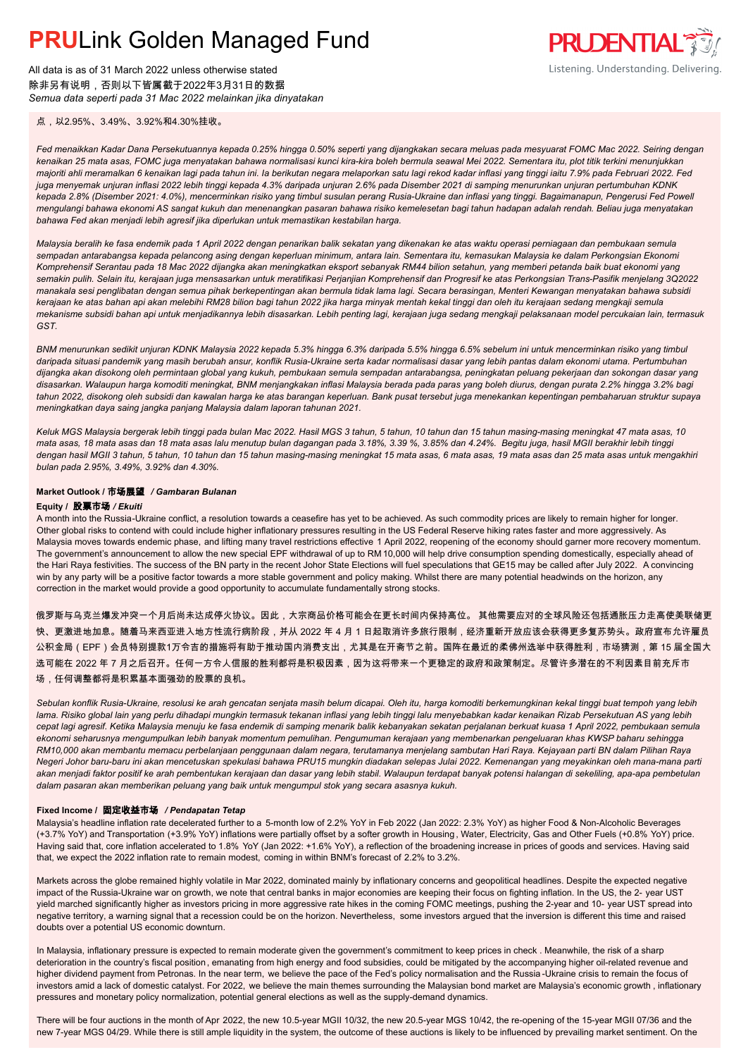All data is as of 31 March 2022 unless otherwise stated 除非另有说明,否则以下皆属截于2022年3月31日的数据 *Semua data seperti pada 31 Mac 2022 melainkan jika dinyatakan*



点,以2.95%、3.49%、3.92%和4.30%挂收。

*Fed menaikkan Kadar Dana Persekutuannya kepada 0.25% hingga 0.50% seperti yang dijangkakan secara meluas pada mesyuarat FOMC Mac 2022. Seiring dengan kenaikan 25 mata asas, FOMC juga menyatakan bahawa normalisasi kunci kira-kira boleh bermula seawal Mei 2022. Sementara itu, plot titik terkini menunjukkan majoriti ahli meramalkan 6 kenaikan lagi pada tahun ini. Ia berikutan negara melaporkan satu lagi rekod kadar inflasi yang tinggi iaitu 7.9% pada Februari 2022. Fed juga menyemak unjuran inflasi 2022 lebih tinggi kepada 4.3% daripada unjuran 2.6% pada Disember 2021 di samping menurunkan unjuran pertumbuhan KDNK kepada 2.8% (Disember 2021: 4.0%), mencerminkan risiko yang timbul susulan perang Rusia-Ukraine dan inflasi yang tinggi. Bagaimanapun, Pengerusi Fed Powell mengulangi bahawa ekonomi AS sangat kukuh dan menenangkan pasaran bahawa risiko kemelesetan bagi tahun hadapan adalah rendah. Beliau juga menyatakan bahawa Fed akan menjadi lebih agresif jika diperlukan untuk memastikan kestabilan harga.*

*Malaysia beralih ke fasa endemik pada 1 April 2022 dengan penarikan balik sekatan yang dikenakan ke atas waktu operasi perniagaan dan pembukaan semula sempadan antarabangsa kepada pelancong asing dengan keperluan minimum, antara lain. Sementara itu, kemasukan Malaysia ke dalam Perkongsian Ekonomi Komprehensif Serantau pada 18 Mac 2022 dijangka akan meningkatkan eksport sebanyak RM44 bilion setahun, yang memberi petanda baik buat ekonomi yang semakin pulih. Selain itu, kerajaan juga mensasarkan untuk meratifikasi Perjanjian Komprehensif dan Progresif ke atas Perkongsian Trans-Pasifik menjelang 3Q2022 manakala sesi penglibatan dengan semua pihak berkepentingan akan bermula tidak lama lagi. Secara berasingan, Menteri Kewangan menyatakan bahawa subsidi kerajaan ke atas bahan api akan melebihi RM28 bilion bagi tahun 2022 jika harga minyak mentah kekal tinggi dan oleh itu kerajaan sedang mengkaji semula mekanisme subsidi bahan api untuk menjadikannya lebih disasarkan. Lebih penting lagi, kerajaan juga sedang mengkaji pelaksanaan model percukaian lain, termasuk GST.*

*BNM menurunkan sedikit unjuran KDNK Malaysia 2022 kepada 5.3% hingga 6.3% daripada 5.5% hingga 6.5% sebelum ini untuk mencerminkan risiko yang timbul daripada situasi pandemik yang masih berubah ansur, konflik Rusia-Ukraine serta kadar normalisasi dasar yang lebih pantas dalam ekonomi utama. Pertumbuhan dijangka akan disokong oleh permintaan global yang kukuh, pembukaan semula sempadan antarabangsa, peningkatan peluang pekerjaan dan sokongan dasar yang disasarkan. Walaupun harga komoditi meningkat, BNM menjangkakan inflasi Malaysia berada pada paras yang boleh diurus, dengan purata 2.2% hingga 3.2% bagi tahun 2022, disokong oleh subsidi dan kawalan harga ke atas barangan keperluan. Bank pusat tersebut juga menekankan kepentingan pembaharuan struktur supaya meningkatkan daya saing jangka panjang Malaysia dalam laporan tahunan 2021.*

*Keluk MGS Malaysia bergerak lebih tinggi pada bulan Mac 2022. Hasil MGS 3 tahun, 5 tahun, 10 tahun dan 15 tahun masing-masing meningkat 47 mata asas, 10 mata asas, 18 mata asas dan 18 mata asas lalu menutup bulan dagangan pada 3.18%, 3.39 %, 3.85% dan 4.24%. Begitu juga, hasil MGII berakhir lebih tinggi dengan hasil MGII 3 tahun, 5 tahun, 10 tahun dan 15 tahun masing-masing meningkat 15 mata asas, 6 mata asas, 19 mata asas dan 25 mata asas untuk mengakhiri bulan pada 2.95%, 3.49%, 3.92% dan 4.30%.*

### **Market Outlook /** 市场展望 */ Gambaran Bulanan*

### **Equity /** 股票市场 */ Ekuiti .*

A month into the Russia-Ukraine conflict, a resolution towards a ceasefire has yet to be achieved. As such commodity prices are likely to remain higher for longer. Other global risks to contend with could include higher inflationary pressures resulting in the US Federal Reserve hiking rates faster and more aggressively. As Malaysia moves towards endemic phase, and lifting many travel restrictions effective 1 April 2022, reopening of the economy should garner more recovery momentum. The government's announcement to allow the new special EPF withdrawal of up to RM 10,000 will help drive consumption spending domestically, especially ahead of the Hari Raya festivities. The success of the BN party in the recent Johor State Elections will fuel speculations that GE15 may be called after July 2022. A convincing win by any party will be a positive factor towards a more stable government and policy making. Whilst there are many potential headwinds on the horizon, any correction in the market would provide a good opportunity to accumulate fundamentally strong stocks.

俄罗斯与乌克兰爆发冲突一个月后尚未达成停火协议。因此,大宗商品价格可能会在更长时间内保持高位。 其他需要应对的全球风险还包括通胀压力走高使美联储更 快、更激进地加息。随着马来西亚进入地方性流行病阶段,并从 2022 年 4 月 1 日起取消许多旅行限制,经济重新开放应该会获得更多复苏势头。政府宣布允许雇员 公积金局(EPF)会员特别提款1万令吉的措施将有助于推动国内消费支出,尤其是在开斋节之前。国阵在最近的柔佛州选举中获得胜利,市场猜测,第 15 届全国大 选可能在 2022 年 7 月之后召开。任何一方令人信服的胜利都将是积极因素,因为这将带来一个更稳定的政府和政策制定。尽管许多潜在的不利因素目前充斥市 场,任何调整都将是积累基本面强劲的股票的良机。

*Sebulan konflik Rusia-Ukraine, resolusi ke arah gencatan senjata masih belum dicapai. Oleh itu, harga komoditi berkemungkinan kekal tinggi buat tempoh yang lebih lama. Risiko global lain yang perlu dihadapi mungkin termasuk tekanan inflasi yang lebih tinggi lalu menyebabkan kadar kenaikan Rizab Persekutuan AS yang lebih cepat lagi agresif. Ketika Malaysia menuju ke fasa endemik di samping menarik balik kebanyakan sekatan perjalanan berkuat kuasa 1 April 2022, pembukaan semula ekonomi seharusnya mengumpulkan lebih banyak momentum pemulihan. Pengumuman kerajaan yang membenarkan pengeluaran khas KWSP baharu sehingga RM10,000 akan membantu memacu perbelanjaan penggunaan dalam negara, terutamanya menjelang sambutan Hari Raya. Kejayaan parti BN dalam Pilihan Raya Negeri Johor baru-baru ini akan mencetuskan spekulasi bahawa PRU15 mungkin diadakan selepas Julai 2022. Kemenangan yang meyakinkan oleh mana-mana parti akan menjadi faktor positif ke arah pembentukan kerajaan dan dasar yang lebih stabil. Walaupun terdapat banyak potensi halangan di sekeliling, apa-apa pembetulan dalam pasaran akan memberikan peluang yang baik untuk mengumpul stok yang secara asasnya kukuh.*

#### **Fixed Income /** 固定收益市场 */ Pendapatan Tetap*

Malaysia's headline inflation rate decelerated further to a 5-month low of 2.2% YoY in Feb 2022 (Jan 2022: 2.3% YoY) as higher Food & Non-Alcoholic Beverages (+3.7% YoY) and Transportation (+3.9% YoY) inflations were partially offset by a softer growth in Housing , Water, Electricity, Gas and Other Fuels (+0.8% YoY) price. Having said that, core inflation accelerated to 1.8% YoY (Jan 2022: +1.6% YoY), a reflection of the broadening increase in prices of goods and services. Having said that, we expect the 2022 inflation rate to remain modest, coming in within BNM's forecast of 2.2% to 3.2%.

Markets across the globe remained highly volatile in Mar 2022, dominated mainly by inflationary concerns and geopolitical headlines. Despite the expected negative impact of the Russia-Ukraine war on growth, we note that central banks in major economies are keeping their focus on fighting inflation. In the US, the 2- year UST yield marched significantly higher as investors pricing in more aggressive rate hikes in the coming FOMC meetings, pushing the 2-year and 10- year UST spread into negative territory, a warning signal that a recession could be on the horizon. Nevertheless, some investors argued that the inversion is different this time and raised doubts over a potential US economic downturn.

In Malaysia, inflationary pressure is expected to remain moderate given the government's commitment to keep prices in check . Meanwhile, the risk of a sharp deterioration in the country's fiscal position, emanating from high energy and food subsidies, could be mitigated by the accompanying higher oil-related revenue and higher dividend payment from Petronas. In the near term, we believe the pace of the Fed's policy normalisation and the Russia -Ukraine crisis to remain the focus of investors amid a lack of domestic catalyst. For 2022, we believe the main themes surrounding the Malaysian bond market are Malaysia's economic growth, inflationary pressures and monetary policy normalization, potential general elections as well as the supply-demand dynamics.

There will be four auctions in the month of Apr 2022, the new 10.5-year MGII 10/32, the new 20.5-year MGS 10/42, the re-opening of the 15-year MGII 07/36 and the new 7-year MGS 04/29. While there is still ample liquidity in the system, the outcome of these auctions is likely to be influenced by prevailing market sentiment. On the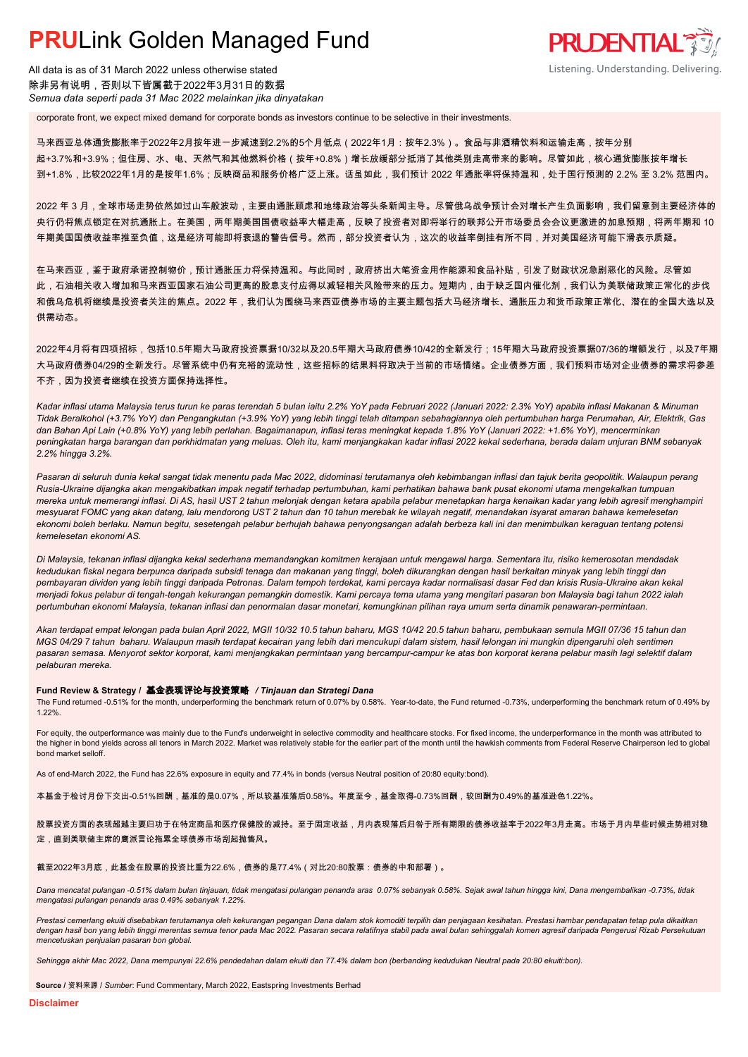All data is as of 31 March 2022 unless otherwise stated 除非另有说明,否则以下皆属截于2022年3月31日的数据 *Semua data seperti pada 31 Mac 2022 melainkan jika dinyatakan*

corporate front, we expect mixed demand for corporate bonds as investors continue to be selective in their investments.

马来西亚总体通货膨胀率于2022年2月按年进一步减速到2.2%的5个月低点(2022年1月:按年2.3%)。食品与非酒精饮料和运输走高,按年分别 起+3.7%和+3.9%;但住房、水、电、天然气和其他燃料价格(按年+0.8%)增长放缓部分抵消了其他类别走高带来的影响。尽管如此,核心通货膨胀按年增长 到+1.8%,比较2022年1月的是按年1.6%;反映商品和服务价格广泛上涨。话虽如此,我们预计 2022 年通胀率将保持温和,处于国行预测的 2.2% 至 3.2% 范围内。

**PRUDENTIAL** 

Listening. Understanding. Delivering.

2022 年 3 月,全球市场走势依然如过山车般波动,主要由通胀顾虑和地缘政治等头条新闻主导。尽管俄乌战争预计会对增长产生负面影响,我们留意到主要经济体的 央行仍将焦点锁定在对抗通胀上。在美国,两年期美国国债收益率大幅走高,反映了投资者对即将举行的联邦公开市场委员会会议更激进的加息预期,将两年期和 10 年期美国国债收益率推至负值,这是经济可能即将衰退的警告信号。然而,部分投资者认为,这次的收益率倒挂有所不同,并对美国经济可能下滑表示质疑。

在马来西亚,鉴于政府承诺控制物价,预计通胀压力将保持温和。与此同时,政府挤出大笔资金用作能源和食品补贴,引发了财政状况急剧恶化的风险。尽管如 此,石油相关收入增加和马来西亚国家石油公司更高的股息支付应得以减轻相关风险带来的压力。短期内,由于缺乏国内催化剂,我们认为美联储政策正常化的步伐 和俄乌危机将继续是投资者关注的焦点。2022 年,我们认为围绕马来西亚债券市场的主要主题包括大马经济增长、通胀压力和货币政策正常化、潜在的全国大选以及 供需动态。

2022年4月将有四项招标,包括10.5年期大马政府投资票据10/32以及20.5年期大马政府债券10/42的全新发行;15年期大马政府投资票据07/36的增额发行,以及7年期 大马政府债券04/29的全新发行。尽管系统中仍有充裕的流动性,这些招标的结果料将取决于当前的市场情绪。企业债券方面,我们预料市场对企业债券的需求将参差 不齐,因为投资者继续在投资方面保持选择性。

*Kadar inflasi utama Malaysia terus turun ke paras terendah 5 bulan iaitu 2.2% YoY pada Februari 2022 (Januari 2022: 2.3% YoY) apabila inflasi Makanan & Minuman Tidak Beralkohol (+3.7% YoY) dan Pengangkutan (+3.9% YoY) yang lebih tinggi telah ditampan sebahagiannya oleh pertumbuhan harga Perumahan, Air, Elektrik, Gas dan Bahan Api Lain (+0.8% YoY) yang lebih perlahan. Bagaimanapun, inflasi teras meningkat kepada 1.8% YoY (Januari 2022: +1.6% YoY), mencerminkan peningkatan harga barangan dan perkhidmatan yang meluas. Oleh itu, kami menjangkakan kadar inflasi 2022 kekal sederhana, berada dalam unjuran BNM sebanyak 2.2% hingga 3.2%.*

*Pasaran di seluruh dunia kekal sangat tidak menentu pada Mac 2022, didominasi terutamanya oleh kebimbangan inflasi dan tajuk berita geopolitik. Walaupun perang Rusia-Ukraine dijangka akan mengakibatkan impak negatif terhadap pertumbuhan, kami perhatikan bahawa bank pusat ekonomi utama mengekalkan tumpuan mereka untuk memerangi inflasi. Di AS, hasil UST 2 tahun melonjak dengan ketara apabila pelabur menetapkan harga kenaikan kadar yang lebih agresif menghampiri mesyuarat FOMC yang akan datang, lalu mendorong UST 2 tahun dan 10 tahun merebak ke wilayah negatif, menandakan isyarat amaran bahawa kemelesetan ekonomi boleh berlaku. Namun begitu, sesetengah pelabur berhujah bahawa penyongsangan adalah berbeza kali ini dan menimbulkan keraguan tentang potensi kemelesetan ekonomi AS.*

*Di Malaysia, tekanan inflasi dijangka kekal sederhana memandangkan komitmen kerajaan untuk mengawal harga. Sementara itu, risiko kemerosotan mendadak kedudukan fiskal negara berpunca daripada subsidi tenaga dan makanan yang tinggi, boleh dikurangkan dengan hasil berkaitan minyak yang lebih tinggi dan pembayaran dividen yang lebih tinggi daripada Petronas. Dalam tempoh terdekat, kami percaya kadar normalisasi dasar Fed dan krisis Rusia-Ukraine akan kekal menjadi fokus pelabur di tengah-tengah kekurangan pemangkin domestik. Kami percaya tema utama yang mengitari pasaran bon Malaysia bagi tahun 2022 ialah pertumbuhan ekonomi Malaysia, tekanan inflasi dan penormalan dasar monetari, kemungkinan pilihan raya umum serta dinamik penawaran-permintaan.*

*Akan terdapat empat lelongan pada bulan April 2022, MGII 10/32 10.5 tahun baharu, MGS 10/42 20.5 tahun baharu, pembukaan semula MGII 07/36 15 tahun dan MGS 04/29 7 tahun baharu. Walaupun masih terdapat kecairan yang lebih dari mencukupi dalam sistem, hasil lelongan ini mungkin dipengaruhi oleh sentimen pasaran semasa. Menyorot sektor korporat, kami menjangkakan permintaan yang bercampur-campur ke atas bon korporat kerana pelabur masih lagi selektif dalam pelaburan mereka.*

### **Fund Review & Strategy /** 基金表现评论与投资策略 */ Tinjauan dan Strategi Dana*

The Fund returned -0.51% for the month, underperforming the benchmark return of 0.07% by 0.58%. Year-to-date, the Fund returned -0.73%, underperforming the benchmark return of 0.49% by 1.22%.

For equity, the outperformance was mainly due to the Fund's underweight in selective commodity and healthcare stocks. For fixed income, the underperformance in the month was attributed to the higher in bond yields across all tenors in March 2022. Market was relatively stable for the earlier part of the month until the hawkish comments from Federal Reserve Chairperson led to global bond market selloff.

As of end-March 2022, the Fund has 22.6% exposure in equity and 77.4% in bonds (versus Neutral position of 20:80 equity:bond).

本基金于检讨月份下交出-0.51%回酬,基准的是0.07%,所以较基准落后0.58%。年度至今,基金取得-0.73%回酬,较回酬为0.49%的基准逊色1.22%。

股票投资方面的表现超越主要归功于在特定商品和医疗保健股的减持。至于固定收益,月内表现落后归咎于所有期限的债券收益率于2022年3月走高。市场于月内早些时候走势相对稳 定,直到美联储主席的鹰派言论拖累全球债券市场刮起抛售风。

### 截至2022年3月底,此基金在股票的投资比重为22.6%,债券的是77.4%(对比20:80股票:债券的中和部署)。

*Dana mencatat pulangan -0.51% dalam bulan tinjauan, tidak mengatasi pulangan penanda aras 0.07% sebanyak 0.58%. Sejak awal tahun hingga kini, Dana mengembalikan -0.73%, tidak mengatasi pulangan penanda aras 0.49% sebanyak 1.22%.*

*Prestasi cemerlang ekuiti disebabkan terutamanya oleh kekurangan pegangan Dana dalam stok komoditi terpilih dan penjagaan kesihatan. Prestasi hambar pendapatan tetap pula dikaitkan dengan hasil bon yang lebih tinggi merentas semua tenor pada Mac 2022. Pasaran secara relatifnya stabil pada awal bulan sehinggalah komen agresif daripada Pengerusi Rizab Persekutuan mencetuskan penjualan pasaran bon global.*

*Sehingga akhir Mac 2022, Dana mempunyai 22.6% pendedahan dalam ekuiti dan 77.4% dalam bon (berbanding kedudukan Neutral pada 20:80 ekuiti:bon).*

**Source /** 资料来源 / *Sumber*: Fund Commentary, March 2022, Eastspring Investments Berhad